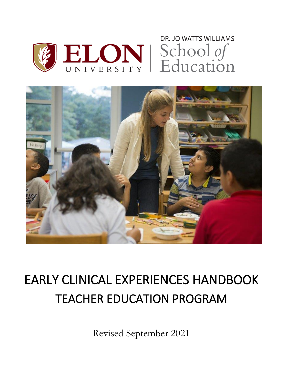



# EARLY CLINICAL EXPERIENCES HANDBOOK TEACHER EDUCATION PROGRAM

Revised September 2021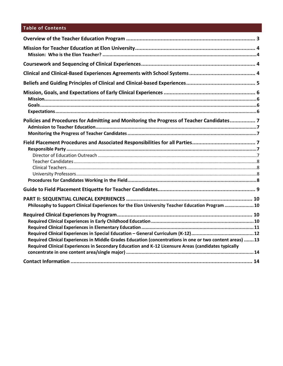# **Table of Contents**

| Policies and Procedures for Admitting and Monitoring the Progress of Teacher Candidates 7                                                                                                                       |  |
|-----------------------------------------------------------------------------------------------------------------------------------------------------------------------------------------------------------------|--|
|                                                                                                                                                                                                                 |  |
|                                                                                                                                                                                                                 |  |
| Philosophy to Support Clinical Experiences for the Elon University Teacher Education Program 10                                                                                                                 |  |
| Required Clinical Experiences in Middle Grades Education (concentrations in one or two content areas) 13<br>Required Clinical Experiences in Secondary Education and K-12 Licensure Areas (candidates typically |  |
|                                                                                                                                                                                                                 |  |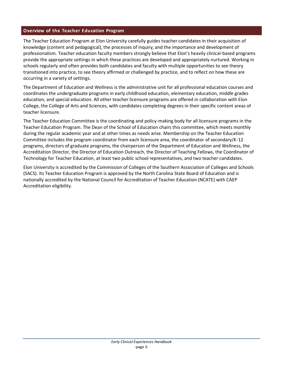# <span id="page-2-0"></span>**Overview of the Teacher Education Program**

The Teacher Education Program at Elon University carefully guides teacher candidates in their acquisition of knowledge (content and pedagogical), the processes of inquiry, and the importance and development of professionalism. Teacher education faculty members strongly believe that Elon's heavily clinical-based programs provide the appropriate settings in which these practices are developed and appropriately nurtured. Working in schools regularly and often provides both candidates and faculty with multiple opportunities to see theory transitioned into practice, to see theory affirmed or challenged by practice, and to reflect on how these are occurring in a variety of settings.

The Department of Education and Wellness is the administrative unit for all professional education courses and coordinates the undergraduate programs in early childhood education, elementary education, middle grades education, and special education. All other teacher licensure programs are offered in collaboration with Elon College, the College of Arts and Sciences, with candidates completing degrees in their specific content areas of teacher licensure.

The Teacher Education Committee is the coordinating and policy-making body for all licensure programs in the Teacher Education Program. The Dean of the School of Education chairs this committee, which meets monthly during the regular academic year and at other times as needs arise. Membership on the Teacher Education Committee includes the program coordinator from each licensure area, the coordinator of secondary/K-12 programs, directors of graduate programs, the chairperson of the Department of Education and Wellness, the Accreditation Director, the Director of Education Outreach, the Director of Teaching Fellows, the Coordinator of Technology for Teacher Education, at least two public school representatives, and two teacher candidates.

Elon University is accredited by the Commission of Colleges of the Southern Association of Colleges and Schools (SACS). Its Teacher Education Program is approved by the North Carolina State Board of Education and is nationally accredited by the National Council for Accreditation of Teacher Education (NCATE) with CAEP Accreditation eligibility.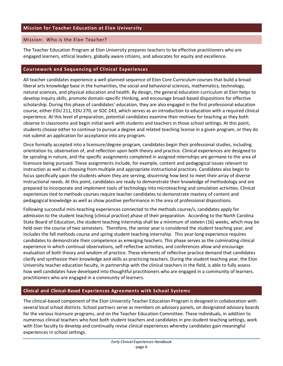#### <span id="page-3-1"></span><span id="page-3-0"></span>Mission: Who is the Elon Teacher?

The Teacher Education Program at Elon University prepares teachers to be effective practitioners who are engaged learners, ethical leaders, globally aware citizens, and advocates for equity and excellence.

#### <span id="page-3-2"></span>**Coursework and Sequencing of Clinical Experiences**

All teacher candidates experience a well-planned sequence of Elon Core Curriculum courses that build a broad liberal arts knowledge base in the humanities, the social and behavioral sciences, mathematics, technology, natural sciences, and physical education and health. By design, the general education curriculum at Elon helps to develop inquiry skills, promote domain-specific thinking, and encourage broad-based dispositions for effective scholarship. During this phase of candidates' education, they are also engaged in the first professional education course, either EDU 211, EDU 270, or SOC 243, which serves as an introduction to education with a required clinical experience. At this level of preparation, potential candidates examine their motives for teaching as they both observe in classrooms and begin initial work with students and teachers in those school settings. At this point, students choose either to continue to pursue a degree and related teaching license in a given program, or they do not submit an application for acceptance into any program.

Once formally accepted into a licensure/degree program, candidates begin their professional studies, including orientation to, observation of, and reflection upon both theory and practice. Clinical experiences are designed to be spiraling in nature, and the specific assignments completed in assigned internships are germane to the area of licensure being pursued. These assignments include, for example, content and pedagogical issues relevant to instruction as well as choosing from multiple and appropriate instructional practices. Candidates also begin to focus specifically upon the students whom they are serving, discerning how best to meet their array of diverse instructional needs. At this point, candidates are ready to demonstrate their knowledge of methodology and are prepared to incorporate and implement tools of technology into microteaching and simulation activities. Clinical experiences tied to methods courses require teacher candidates to demonstrate mastery of content and pedagogical knowledge as well as show positive performance in the area of professional dispositions.

Following successful mini-teaching experiences connected to the methods course/s, candidates apply for admission to the student teaching (clinical practice) phase of their preparation. According to the North Carolina State Board of Education, the student teaching internship shall be a minimum of sixteen (16) weeks, which may be held over the course of two semesters. Therefore, the senior year is considered the student teaching year, and includes the fall methods course and spring student teaching internship. This year-long experience requires candidates to demonstrate their competence as emerging teachers. This phase serves as the culminating clinical experience in which continual observations, self-reflective activities, and conferences allow and encourage evaluation of both theory and wisdom of practice. These elements of reflective practice demand that candidates clarify and synthesize their knowledge and skills as practicing teachers. During the student teaching year, the Elon University teacher education faculty, in partnership with the clinical teachers in the field, is able to fully assess how well candidates have developed into thoughtful practitioners who are engaged in a community of learners. practitioners who are engaged in a community of learners.

# <span id="page-3-3"></span>**Clinical and Clinical-Based Experiences Agreements with School Systems**

The clinical-based component of the Elon University Teacher Education Program is designed in collaboration with several local school districts. School partners serve as members on advisory panels, on designated advisory boards for the various licensure programs, and on the Teacher Education Committee. These individuals, in addition to numerous clinical teachers who host both student teachers and candidates in pre-student teaching settings, work with Elon faculty to develop and continually revise clinical experiences whereby candidates gain meaningful experiences in school settings.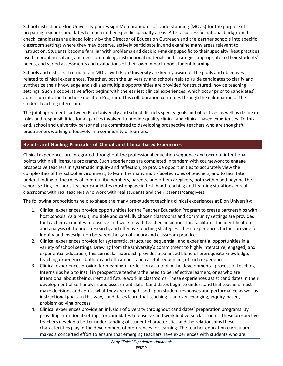School district and Elon University parties sign Memorandums of Understanding (MOUs) for the purpose of preparing teacher candidates to teach in their specific specialty areas. After a successful national background check, candidates are placed jointly by the Director of Education Outreach and the partner schools into specific classroom settings where they may observe, actively participate in, and examine many areas relevant to instruction. Students become familiar with problems and decision-making specific to their specialty, best practices used in problem-solving and decision-making, instructional materials and strategies appropriate to their students' needs, and varied assessments and evaluations of their own impact upon student learning.

Schools and districts that maintain MOUs with Elon University are keenly aware of the goals and objectives related to clinical experiences. Together, both the university and schools help to guide candidates to clarify and synthesize their knowledge and skills as multiple opportunities are provided for structured, novice teaching settings. Such a cooperative effort begins with the earliest clinical experiences, which occur prior to candidates' admission into the Teacher Education Program. This collaboration continues through the culmination of the student teaching internship.

The joint agreements between Elon University and school districts specify goals and objectives as well as delineate roles and responsibilities for all parties involved to provide quality clinical and clinical-based experiences. To this end, school and university personnel are committed to developing prospective teachers who are thoughtful practitioners working effectively in a community of learners.

# <span id="page-4-0"></span>**Beliefs and Guiding Principles of Clinical and Clinical-based Experiences**

Clinical experiences are integrated throughout the professional education sequence and occur at intentional points within all licensure programs. Such experiences are completed in tandem with coursework to engage prospective teachers in systematic inquiry and reflection, to provide opportunities to accurately view the complexities of the school environment, to learn the many multi-faceted roles of teachers, and to facilitate understanding of the roles of community members, parents, and other caregivers, both within and beyond the school setting. In short, teacher candidates must engage in first-hand teaching and learning situations in real classrooms with real teachers who work with real students and their parents/caregivers.

The following propositions help to shape the many pre-student teaching clinical experiences at Elon University:

- 1. Clinical experiences provide opportunities for the Teacher Education Program to create partnerships with host schools. As a result, multiple and carefully chosen classrooms and community settings are provided for teacher candidates to observe and work in with teachers in action. This facilitates the identification and analysis of theories, research, and effective teaching strategies. These experiences further provide for inquiry and investigation between the gap of theory and classroom practice.
- 2. Clinical experiences provide for systematic, structured, sequential, and experiential opportunities in a variety of school settings. Drawing from the University's commitment to highly interactive, engaged, and experiential education, this curricular approach provides a balanced blend of prerequisite knowledge, teaching experiences both on and off campus, and careful sequencing of such experiences.
- 3. Clinical experiences provide for meaningful reflection as a tool in the developmental process of teaching. Internships help to instill in prospective teachers the need to be reflective learners, ones who are intentional about their current and future work in classrooms. These experiences assist candidates in their development of self-analysis and assessment skills. Candidates begin to understand that teachers must make decisions and adjust what they are doing based upon student responses and performance as well as instructional goals. In this way, candidates learn that teaching is an ever-changing, inquiry-based, problem-solving process.
- 4. Clinical experiences provide an infusion of diversity throughout candidates' preparation programs. By providing intentional settings for candidates to observe and work in diverse classrooms, these prospective teachers develop a better understanding of student characteristics and the relationships these characteristics play in the development of preferences for learning. The teacher education curriculum makes a concerted effort to ensure that emerging teachers have experiences with students who are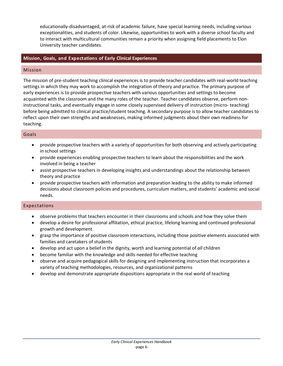educationally-disadvantaged, at-risk of academic failure, have special learning needs, including various exceptionalities, and students of color. Likewise, opportunities to work with a diverse school faculty and to interact with multicultural communities remain a priority when assigning field placements to Elon University teacher candidates.

# <span id="page-5-0"></span>**Mission, Goals, and Expectations of Early Clinical Experiences**

#### <span id="page-5-1"></span>Mission

The mission of pre-student teaching clinical experiences is to provide teacher candidates with real-world teaching settings in which they may work to accomplish the integration of theory and practice. The primary purpose of early experiences is to provide prospective teachers with various opportunities and settings to become acquainted with the classroom and the many roles of the teacher. Teacher candidates observe, perform noninstructional tasks, and eventually engage in some closely supervised delivery of instruction (micro- teaching) before being admitted to clinical practice/student teaching. A secondary purpose is to allow teacher candidates to reflect upon their own strengths and weaknesses, making informed judgments about their own readiness for teaching.

#### <span id="page-5-2"></span>Goals

- provide prospective teachers with a variety of opportunities for both observing and actively participating in school settings
- provide experiences enabling prospective teachers to learn about the responsibilities and the work involved in being a teacher
- assist prospective teachers in developing insights and understandings about the relationship between theory and practice
- provide prospective teachers with information and preparation leading to the ability to make informed decisions about classroom policies and procedures, curriculum matters, and students' academic and social needs.

#### <span id="page-5-3"></span>Expectations

- observe problems that teachers encounter in their classrooms and schools and how they solve them
- develop a desire for professional affiliation, ethical practice, lifelong learning and continued professional growth and development
- grasp the importance of positive classroom interactions, including those positive elements associated with families and caretakers of students
- develop and act upon a belief in the dignity, worth and learning potential of *all* children
- become familiar with the knowledge and skills needed for effective teaching
- observe and acquire pedagogical skills for designing and implementing instruction that incorporates a variety of teaching methodologies, resources, and organizational patterns
- develop and demonstrate appropriate dispositions appropriate in the real world of teaching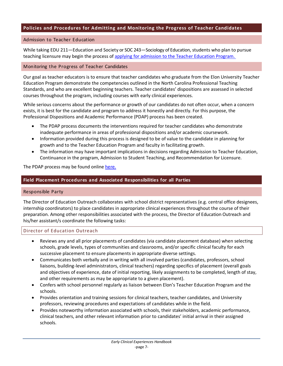# <span id="page-6-0"></span>**Policies and Procedures for Admitting and Monitoring the Progress of Teacher Candidates**

#### <span id="page-6-1"></span>Admission to Teacher Education

While taking EDU 211—Education and Society or SOC 243—Sociology of Education, students who plan to pursue teaching licensure may begin the process of applying for admission to the [Teacher Education Program.](https://www.elon.edu/u/academics/education/teacher-education-program/) 

#### <span id="page-6-2"></span>Monitoring the Progress of Teacher Candidates

Our goal as teacher educators is to ensure that teacher candidates who graduate from the Elon University Teacher Education Program demonstrate the competencies outlined in the North Carolina Professional Teaching Standards, and who are excellent beginning teachers. Teacher candidates' dispositions are assessed in selected courses throughout the program, including courses with early clinical experiences.

While serious concerns about the performance or growth of our candidates do not often occur, when a concern exists, it is best for the candidate and program to address it honestly and directly. For this purpose, the Professional Dispositions and Academic Performance (PDAP) process has been created.

- The PDAP process documents the interventions required for teacher candidates who demonstrate inadequate performance in areas of professional dispositions and/or academic coursework.
- Information provided during this process is designed to be of value to the candidate in planning for growth and to the Teacher Education Program and faculty in facilitating growth.
- The information may have important implications in decisions regarding Admission to Teacher Education, Continuance in the program, Admission to Student Teaching, and Recommendation for Licensure.

The PDAP process may be found onlin[e here.](https://www.elon.edu/u/academics/education/wp-content/uploads/sites/27/2021/07/PDAP-Process-revised-final-print-version_2021.pdf)

#### <span id="page-6-3"></span>**Field Placement Procedures and Associated Responsibilities for all Parties**

#### <span id="page-6-4"></span>Responsible Party

The Director of Education Outreach collaborates with school district representatives (e.g. central office designees, internship coordinators) to place candidates in appropriate clinical experiences throughout the course of their preparation. Among other responsibilities associated with the process, the Director of Education Outreach and his/her assistant/s coordinate the following tasks:

#### <span id="page-6-5"></span>Director of Education Outreach

- Reviews any and all prior placements of candidates (via candidate placement database) when selecting schools, grade levels, types of communities and classrooms, and/or specific clinical faculty for each successive placement to ensure placements in appropriate diverse settings.
- Communicates both verbally and in writing with all involved parties (candidates, professors, school liaisons, building-level administrators, clinical teachers) regarding specifics of placement (overall goals and objectives of experience, date of initial reporting, likely assignments to be completed, length of stay, and other requirements as may be appropriate to a given placement).
- Confers with school personnel regularly as liaison between Elon's Teacher Education Program and the schools.
- Provides orientation and training sessions for clinical teachers, teacher candidates, and University professors, reviewing procedures and expectations of candidates while in the field.
- Provides noteworthy information associated with schools, their stakeholders, academic performance, clinical teachers, and other relevant information prior to candidates' initial arrival in their assigned schools.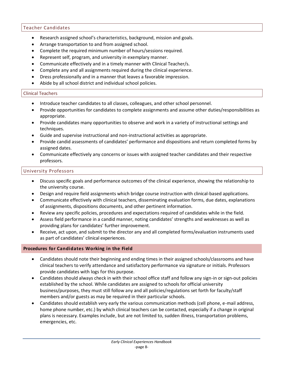# <span id="page-7-0"></span>Teacher Candidates

- Research assigned school's characteristics, background, mission and goals.
- Arrange transportation to and from assigned school.
- Complete the required minimum number of hours/sessions required.
- Represent self, program, and university in exemplary manner.
- Communicate effectively and in a timely manner with Clinical Teacher/s.
- Complete any and all assignments required during the clinical experience.
- Dress professionally and in a manner that leaves a favorable impression.
- Abide by all school district and individual school policies.

#### <span id="page-7-1"></span>Clinical Teachers

- Introduce teacher candidates to all classes, colleagues, and other school personnel.
- Provide opportunities for candidates to complete assignments and assume other duties/responsibilities as appropriate.
- Provide candidates many opportunities to observe and work in a variety of instructional settings and techniques.
- Guide and supervise instructional and non-instructional activities as appropriate.
- Provide candid assessments of candidates' performance and dispositions and return completed forms by assigned dates.
- Communicate effectively any concerns or issues with assigned teacher candidates and their respective professors.

#### <span id="page-7-2"></span>University Professors

- Discuss specific goals and performance outcomes of the clinical experience, showing the relationship to the university course.
- Design and require field assignments which bridge course instruction with clinical-based applications.
- Communicate effectively with clinical teachers, disseminating evaluation forms, due dates, explanations of assignments, dispositions documents, and other pertinent information.
- Review any specific policies, procedures and expectations required of candidates while in the field.
- Assess field performance in a candid manner, noting candidates' strengths and weaknesses as well as providing plans for candidates' further improvement.
- Receive, act upon, and submit to the director any and all completed forms/evaluation instruments used as part of candidates' clinical experiences.

#### <span id="page-7-3"></span>**Procedures for Candidates Working in the Field**

- Candidates should note their beginning and ending times in their assigned schools/classrooms and have clinical teachers to verify attendance and satisfactory performance via signature or initials. Professors provide candidates with logs for this purpose.
- Candidates should always check in with their school office staff and follow any sign-in or sign-out policies established by the school. While candidates are assigned to schools for official university business/purposes, they must still follow any and all policies/regulations set forth for faculty/staff members and/or guests as may be required in their particular schools.
- Candidates should establish very early the various communication methods (cell phone, e-mail address, home phone number, etc.) by which clinical teachers can be contacted, especially if a change in original plans is necessary. Examples include, but are not limited to, sudden illness, transportation problems, emergencies, etc.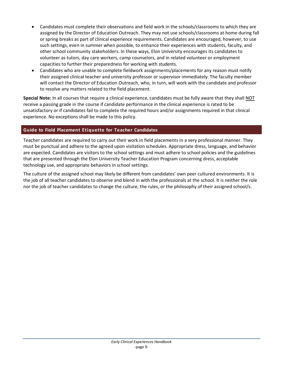- Candidates must complete their observations and field work in the schools/classrooms to which they are assigned by the Director of Education Outreach. They may not use schools/classrooms at home during fall or spring breaks as part of clinical experience requirements. Candidates are encouraged, however, to use such settings, even in summer when possible, to enhance their experiences with students, faculty, and other school community stakeholders. In these ways, Elon University encourages its candidates to volunteer as tutors, day care workers, camp counselors, and in related volunteer or employment capacities to further their preparedness for working with students.
- Candidates who are unable to complete fieldwork assignments/placements for any reason must notify their assigned clinical teacher and university professor or supervisor immediately. The faculty member will contact the Director of Education Outreach, who, in turn, will work with the candidate and professor to resolve any matters related to the field placement.

**Special Note:** In all courses that require a clinical experience, candidates must be fully aware that they shall NOT receive a passing grade in the course if candidate performance in the clinical experience is rated to be unsatisfactory or if candidates fail to complete the required hours and/or assignments required in that clinical experience. No exceptions shall be made to this policy.

# <span id="page-8-0"></span>**Guide to Field Placement Etiquette for Teacher Candidates**

Teacher candidates are required to carry out their work in field placements in a very professional manner. They must be punctual and adhere to the agreed upon visitation schedules. Appropriate dress, language, and behavior are expected. Candidates are visitors to the school settings and must adhere to school policies and the guidelines that are presented through the Elon University Teacher Education Program concerning dress, acceptable technology use, and appropriate behaviors in school settings.

The culture of the assigned school may likely be different from candidates' own peer cultured environments. It is the job of all teacher candidates to observe and blend in with the professionals at the school. It is neither the role nor the job of teacher candidates to change the culture, the rules, or the philosophy of their assigned school/s.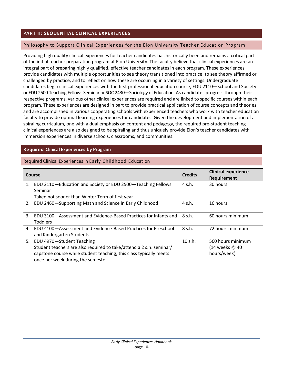# <span id="page-9-0"></span>**PART II: SEQUENTIAL CLINICAL EXPERIENCES**

#### <span id="page-9-1"></span>Philosophy to Support Clinical Experiences for the Elon University Teacher Education Program

Providing high quality clinical experiences for teacher candidates has historically been and remains a critical part of the initial teacher preparation program at Elon University. The faculty believe that clinical experiences are an integral part of preparing highly qualified, effective teacher candidates in each program. These experiences provide candidates with multiple opportunities to see theory transitioned into practice, to see theory affirmed or challenged by practice, and to reflect on how these are occurring in a variety of settings. Undergraduate candidates begin clinical experiences with the first professional education course, EDU 2110—School and Society or EDU 2500 Teaching Fellows Seminar or SOC 2430—Sociology of Education. As candidates progress through their respective programs, various other clinical experiences are required and are linked to specific courses within each program. These experiences are designed in part to provide practical application of course concepts and theories and are accomplished in various cooperating schools with experienced teachers who work with teacher education faculty to provide optimal learning experiences for candidates. Given the development and implementation of a spiraling curriculum, one with a dual emphasis on content and pedagogy, the required pre-student teaching clinical experiences are also designed to be spiraling and thus uniquely provide Elon's teacher candidates with immersion experiences in diverse schools, classrooms, and communities.

#### <span id="page-9-2"></span>**Required Clinical Experiences by Program**

#### <span id="page-9-3"></span>Required Clinical Experiences in Early Childhood Education

| Course |                                                                                                                                                                                                              | <b>Credits</b> | <b>Clinical experience</b><br>Requirement          |
|--------|--------------------------------------------------------------------------------------------------------------------------------------------------------------------------------------------------------------|----------------|----------------------------------------------------|
| 1.     | EDU 2110-Education and Society or EDU 2500-Teaching Fellows<br>Seminar                                                                                                                                       | 4 s.h.         | 30 hours                                           |
|        | Taken not sooner than Winter Term of first year                                                                                                                                                              |                |                                                    |
| 2.     | EDU 2460-Supporting Math and Science in Early Childhood                                                                                                                                                      | 4 s.h.         | 16 hours                                           |
| 3.     | EDU 3100-Assessment and Evidence-Based Practices for Infants and<br><b>Toddlers</b>                                                                                                                          | 8 s.h.         | 60 hours minimum                                   |
| 4.     | FDU 4100-Assessment and Evidence-Based Practices for Preschool<br>and Kindergarten Students                                                                                                                  | 8 s.h.         | 72 hours minimum                                   |
| 5.     | EDU 4970-Student Teaching<br>Student teachers are also required to take/attend a 2 s.h. seminar/<br>capstone course while student teaching; this class typically meets<br>once per week during the semester. | 10 s.h.        | 560 hours minimum<br>(14 weeks @ 40<br>hours/week) |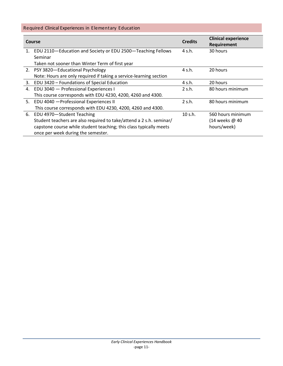# <span id="page-10-0"></span>Required Clinical Experiences in Elementary Education

| Course |                                                                     | <b>Credits</b> | <b>Clinical experience</b><br>Requirement |
|--------|---------------------------------------------------------------------|----------------|-------------------------------------------|
| 1.     | EDU 2110-Education and Society or EDU 2500-Teaching Fellows         | 4 s.h.         | 30 hours                                  |
|        | Seminar                                                             |                |                                           |
|        | Taken not sooner than Winter Term of first year                     |                |                                           |
|        | 2. PSY 3820-Educational Psychology                                  | 4 s.h.         | 20 hours                                  |
|        | Note: Hours are only required if taking a service-learning section  |                |                                           |
| 3.     | EDU 3420 - Foundations of Special Education                         | 4 s.h.         | 20 hours                                  |
| 4.     | EDU 3040 - Professional Experiences I                               | 2 s.h.         | 80 hours minimum                          |
|        | This course corresponds with EDU 4230, 4200, 4260 and 4300.         |                |                                           |
|        | 5. EDU 4040 - Professional Experiences II                           | 2 s.h.         | 80 hours minimum                          |
|        | This course corresponds with EDU 4230, 4200, 4260 and 4300.         |                |                                           |
| 6.     | EDU 4970-Student Teaching                                           | 10 s.h.        | 560 hours minimum                         |
|        | Student teachers are also required to take/attend a 2 s.h. seminar/ |                | (14 weeks @ 40                            |
|        | capstone course while student teaching; this class typically meets  |                | hours/week)                               |
|        | once per week during the semester.                                  |                |                                           |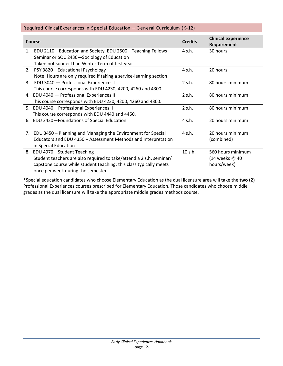#### <span id="page-11-0"></span>Required Clinical Experiences in Special Education – General Curriculum (K-12)

|                | <b>Course</b>                                                       | <b>Credits</b> | <b>Clinical experience</b><br>Requirement |
|----------------|---------------------------------------------------------------------|----------------|-------------------------------------------|
| 1.             | EDU 2110-Education and Society, EDU 2500-Teaching Fellows           | 4 s.h.         | 30 hours                                  |
|                | Seminar or SOC 2430-Sociology of Education                          |                |                                           |
|                | Taken not sooner than Winter Term of first year                     |                |                                           |
|                | 2. PSY 3820-Educational Psychology                                  | 4 s.h.         | 20 hours                                  |
|                | Note: Hours are only required if taking a service-learning section  |                |                                           |
| $\mathbf{3}$ . | EDU 3040 - Professional Experiences I                               | 2 s.h.         | 80 hours minimum                          |
|                | This course corresponds with EDU 4230, 4200, 4260 and 4300.         |                |                                           |
|                | 4. EDU 4040 - Professional Experiences II                           | 2 s.h.         | 80 hours minimum                          |
|                | This course corresponds with EDU 4230, 4200, 4260 and 4300.         |                |                                           |
|                | 5. EDU 4040 - Professional Experiences II                           | 2 s.h.         | 80 hours minimum                          |
|                | This course corresponds with EDU 4440 and 4450.                     |                |                                           |
|                | 6. EDU 3420-Foundations of Special Education                        | 4 s.h.         | 20 hours minimum                          |
|                |                                                                     |                |                                           |
|                | 7. EDU 3450 - Planning and Managing the Environment for Special     | 4 s.h.         | 20 hours minimum                          |
|                | Educators and EDU 4350 - Assessment Methods and Interpretation      |                | (combined)                                |
|                | in Special Education                                                |                |                                           |
|                | 8. EDU 4970-Student Teaching                                        | 10 s.h.        | 560 hours minimum                         |
|                | Student teachers are also required to take/attend a 2 s.h. seminar/ |                | (14 weeks @ 40                            |
|                | capstone course while student teaching; this class typically meets  |                | hours/week)                               |
|                | once per week during the semester.                                  |                |                                           |

\*Special education candidates who choose Elementary Education as the dual licensure area will take the **two (2)**  Professional Experiences courses prescribed for Elementary Education. Those candidates who choose middle grades as the dual licensure will take the appropriate middle grades methods course.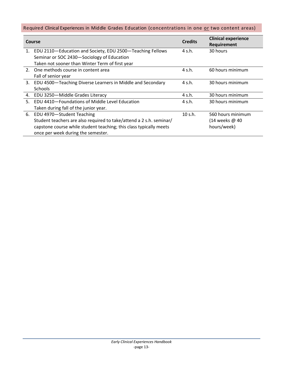# <span id="page-12-0"></span>Required Clinical Experiences in Middle Grades Education (concentrations in one or two content areas)

| Course |                                                                     | <b>Credits</b> | <b>Clinical experience</b><br>Requirement |
|--------|---------------------------------------------------------------------|----------------|-------------------------------------------|
| 1.     | EDU 2110-Education and Society, EDU 2500-Teaching Fellows           | 4 s.h.         | 30 hours                                  |
|        | Seminar or SOC 2430-Sociology of Education                          |                |                                           |
|        | Taken not sooner than Winter Term of first year                     |                |                                           |
|        | 2. One methods course in content area                               | 4 s.h.         | 60 hours minimum                          |
|        | Fall of senior year                                                 |                |                                           |
| 3.     | EDU 4500-Teaching Diverse Learners in Middle and Secondary          | 4 s.h.         | 30 hours minimum                          |
|        | <b>Schools</b>                                                      |                |                                           |
| 4.     | EDU 3250-Middle Grades Literacy                                     | 4 s.h.         | 30 hours minimum                          |
| 5.     | EDU 4410-Foundations of Middle Level Education                      | 4 s.h.         | 30 hours minimum                          |
|        | Taken during fall of the junior year.                               |                |                                           |
| 6.     | EDU 4970-Student Teaching                                           | 10 s.h.        | 560 hours minimum                         |
|        | Student teachers are also required to take/attend a 2 s.h. seminar/ |                | (14 weeks @ 40                            |
|        | capstone course while student teaching; this class typically meets  |                | hours/week)                               |
|        | once per week during the semester.                                  |                |                                           |